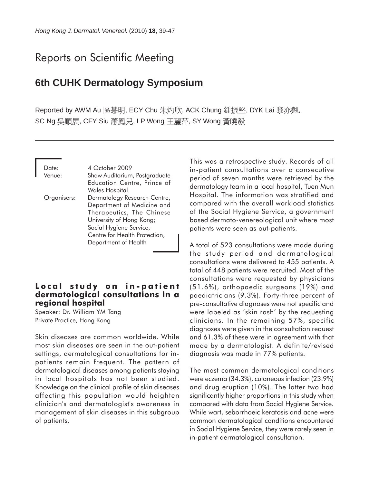# Reports on Scientific Meeting

# **6th CUHK Dermatology Symposium**

Reported by AWM Au 區慧明, ECY Chu 朱灼欣, ACK Chung 鍾振堅, DYK Lai 黎亦翹, SC Ng 吳順展, CFY Siu 蕭鳳兒, LP Wong 王麗萍, SY Wong 黃曉毅

Date: 4 October 2009 Venue: Shaw Auditorium, Postgraduate Education Centre, Prince of Wales Hospital Organisers: Dermatology Research Centre, Department of Medicine and Therapeutics, The Chinese University of Hong Kong; Social Hygiene Service, Centre for Health Protection, Department of Health

# **Local study on in-patient dermatological consultations in a regional hospital**

Speaker: Dr. William YM Tang Private Practice, Hong Kong

Skin diseases are common worldwide. While most skin diseases are seen in the out-patient settings, dermatological consultations for inpatients remain frequent. The pattern of dermatological diseases among patients staying in local hospitals has not been studied. Knowledge on the clinical profile of skin diseases affecting this population would heighten clinician's and dermatologist's awareness in management of skin diseases in this subgroup of patients.

This was a retrospective study. Records of all in-patient consultations over a consecutive period of seven months were retrieved by the dermatology team in a local hospital, Tuen Mun Hospital. The information was stratified and compared with the overall workload statistics of the Social Hygiene Service, a government based dermato-venereological unit where most patients were seen as out-patients.

A total of 523 consultations were made during the study period and dermatological consultations were delivered to 455 patients. A total of 448 patients were recruited. Most of the consultations were requested by physicians (51.6%), orthopaedic surgeons (19%) and paediatricians (9.3%). Forty-three percent of pre-consultative diagnoses were not specific and were labeled as 'skin rash' by the requesting clinicians. In the remaining 57%, specific diagnoses were given in the consultation request and 61.3% of these were in agreement with that made by a dermatologist. A definite/revised diagnosis was made in 77% patients.

The most common dermatological conditions were eczema (34.3%), cutaneous infection (23.9%) and drug eruption (10%). The latter two had significantly higher proportions in this study when compared with data from Social Hygiene Service. While wart, seborrhoeic keratosis and acne were common dermatological conditions encountered in Social Hygiene Service, they were rarely seen in in-patient dermatological consultation.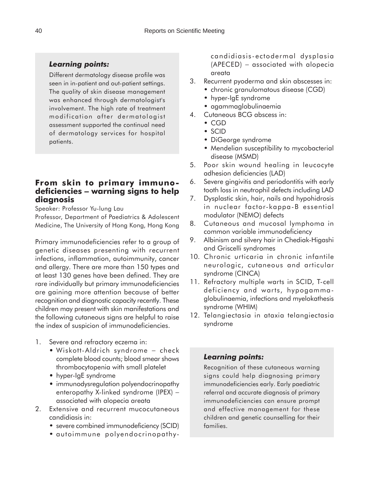### *Learning points:*

Different dermatology disease profile was seen in in-patient and out-patient settings. The quality of skin disease management was enhanced through dermatologist's involvement. The high rate of treatment modification after dermatologist assessment supported the continual need of dermatology services for hospital patients.

# **From skin to primary immunodeficiencies** − **warning signs to help diagnosis**

Speaker: Professor Yu-lung Lau

Professor, Department of Paediatrics & Adolescent Medicine, The University of Hong Kong, Hong Kong

Primary immunodeficiencies refer to a group of genetic diseases presenting with recurrent infections, inflammation, autoimmunity, cancer and allergy. There are more than 150 types and at least 130 genes have been defined. They are rare individually but primary immunodeficiencies are gaining more attention because of better recognition and diagnostic capacity recently. These children may present with skin manifestations and the following cutaneous signs are helpful to raise the index of suspicion of immunodeficiencies.

- 1. Severe and refractory eczema in:
	- Wiskott-Aldrich syndrome check complete blood counts; blood smear shows thrombocytopenia with small platelet
	- hyper-IgE syndrome
	- immunodysregulation polyendocrinopathy enteropathy X-linked syndrome (IPEX) – associated with alopecia areata
- 2. Extensive and recurrent mucocutaneous candidiasis in:
	- severe combined immunodeficiency (SCID)
	- autoimmune polyendocrinopathy- •

candidiasis-ectodermal dysplasia (APECED) − associated with alopecia areata

- 3. Recurrent pyoderma and skin abscesses in:
	- chronic granulomatous disease (CGD) •
	- hyper-IgE syndrome
	- agammaglobulinaemia •
- 4. Cutaneous BCG abscess in:
	- CGD
	- SCID
	- DiGeorge syndrome •
	- Mendelian susceptibility to mycobacterial disease (MSMD)
- 5. Poor skin wound healing in leucocyte adhesion deficiencies (LAD)
- 6. Severe gingivitis and periodontitis with early tooth loss in neutrophil defects including LAD
- 7. Dysplastic skin, hair, nails and hypohidrosis in nuclear factor-kappa-B essential modulator (NEMO) defects
- 8. Cutaneous and mucosal lymphoma in common variable immunodeficiency
- 9. Albinism and silvery hair in Chediak-Higashi and Griscelli syndromes
- 10. Chronic urticaria in chronic infantile neurologic, cutaneous and articular syndrome (CINCA)
- 11. Refractory multiple warts in SCID, T-cell deficiency and warts, hypogammaglobulinaemia, infections and myelokathesis syndrome (WHIM)
- 12. Telangiectasia in ataxia telangiectasia syndrome

### *Learning points:*

Recognition of these cutaneous warning signs could help diagnosing primary immunodeficiencies early. Early paediatric referral and accurate diagnosis of primary immunodeficiencies can ensure prompt and effective management for these children and genetic counselling for their families.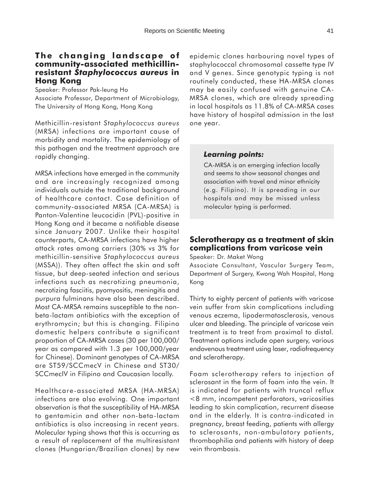### **The changing landscape of community-associated methicillinresistant** *Staphylococcus aureus* **in Hong Kong**

Speaker: Professor Pak-leung Ho Associate Professor, Department of Microbiology, The University of Hong Kong, Hong Kong

Methicillin-resistant *Staphylococcus aureus* (MRSA) infections are important cause of morbidity and mortality. The epidemiology of this pathogen and the treatment approach are rapidly changing.

MRSA infections have emerged in the community and are increasingly recognized among individuals outside the traditional background of healthcare contact. Case definition of community-associated MRSA (CA-MRSA) is Panton-Valentine leucocidin (PVL)-positive in Hong Kong and it became a notifiable disease since January 2007. Unlike their hospital counterparts, CA-MRSA infections have higher attack rates among carriers (30% vs 3% for methicillin-sensitive *Staphylococcus aureus* (MSSA)). They often affect the skin and soft tissue, but deep-seated infection and serious infections such as necrotizing pneumonia, necrotizing fasciitis, pyomyositis, meningitis and purpura fulminans have also been described. Most CA-MRSA remains susceptible to the nonbeta-lactam antibiotics with the exception of erythromycin; but this is changing. Filipino domestic helpers contribute a significant proportion of CA-MRSA cases (30 per 100,000/ year as compared with 1.3 per 100,000/year for Chinese). Dominant genotypes of CA-MRSA are ST59/SCCmecV in Chinese and ST30/ SCCmecIV in Filipino and Caucasian locally.

Healthcare-associated MRSA (HA-MRSA) infections are also evolving. One important observation is that the susceptibility of HA-MRSA to gentamicin and other non-beta-lactam antibiotics is also increasing in recent years. Molecular typing shows that this is occurring as a result of replacement of the multiresistant clones (Hungarian/Brazilian clones) by new

epidemic clones harbouring novel types of staphylococcal chromosomal cassette type IV and V genes. Since genotypic typing is not routinely conducted, these HA-MRSA clones may be easily confused with genuine CA-MRSA clones, which are already spreading in local hospitals as 11.8% of CA-MRSA cases have history of hospital admission in the last one year.

### *Learning points:*

CA-MRSA is an emerging infection locally and seems to show seasonal changes and association with travel and minor ethnicity (e.g. Filipino). It is spreading in our hospitals and may be missed unless molecular typing is performed.

# **Sclerotherapy as a treatment of skin complications from varicose vein**

Speaker: Dr. Maket Wong

Associate Consultant, Vascular Surgery Team, Department of Surgery, Kwong Wah Hospital, Hong Kong

Thirty to eighty percent of patients with varicose vein suffer from skin complications including venous eczema, lipodermatosclerosis, venous ulcer and bleeding. The principle of varicose vein treatment is to treat from proximal to distal. Treatment options include open surgery, various endovenous treatment using laser, radiofrequency and sclerotherapy.

Foam sclerotherapy refers to injection of sclerosant in the form of foam into the vein. It is indicated for patients with truncal reflux <8 mm, incompetent perforators, varicosities leading to skin complication, recurrent disease and in the elderly. It is contra-indicated in pregnancy, breast feeding, patients with allergy to sclerosants, non-ambulatory patients, thrombophilia and patients with history of deep vein thrombosis.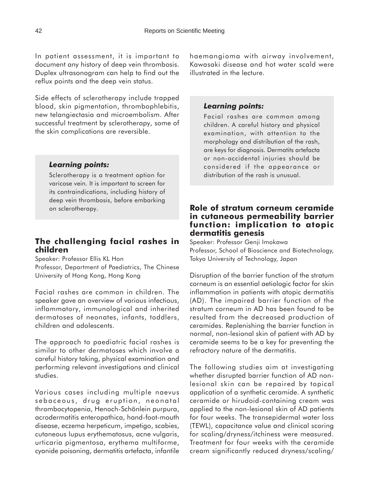In patient assessment, it is important to document any history of deep vein thrombosis. Duplex ultrasonogram can help to find out the reflux points and the deep vein status.

Side effects of sclerotherapy include trapped blood, skin pigmentation, thrombophlebitis, new telangiectasia and microembolism. After successful treatment by sclerotherapy, some of the skin complications are reversible.

# *Learning points:*

Sclerotherapy is a treatment option for varicose vein. It is important to screen for its contraindications, including history of deep vein thrombosis, before embarking on sclerotherapy.

# **The challenging facial rashes in children**

Speaker: Professor Ellis KL Hon Professor, Department of Paediatrics, The Chinese University of Hong Kong, Hong Kong

Facial rashes are common in children. The speaker gave an overview of various infectious, inflammatory, immunological and inherited dermatoses of neonates, infants, toddlers, children and adolescents.

The approach to paediatric facial rashes is similar to other dermatoses which involve a careful history taking, physical examination and performing relevant investigations and clinical studies.

Various cases including multiple naevus sebaceous, drug eruption, neonatal thrombocytopenia, Henoch-Schönlein purpura, acrodermatitis enteropathica, hand-foot-mouth disease, eczema herpeticum, impetigo, scabies, cutaneous lupus erythematosus, acne vulgaris, urticaria pigmentosa, erythema multiforme, cyanide poisoning, dermatitis artefacta, infantile

haemangioma with airway involvement, Kawasaki disease and hot water scald were illustrated in the lecture.

### *Learning points:*

Facial rashes are common among children. A careful history and physical examination, with attention to the morphology and distribution of the rash, are keys for diagnosis. Dermatits artefacta or non-accidental injuries should be considered if the appearance or distribution of the rash is unusual.

### **Role of stratum corneum ceramide in cutaneous permeability barrier function: implication to atopic dermatitis genesis**

Speaker: Professor Genji Imokawa Professor, School of Bioscience and Biotechnology, Tokyo University of Technology, Japan

Disruption of the barrier function of the stratum corneum is an essential aetiologic factor for skin inflammation in patients with atopic dermatitis (AD). The impaired barrier function of the stratum corneum in AD has been found to be resulted from the decreased production of ceramides. Replenishing the barrier function in normal, non-lesional skin of patient with AD by ceramide seems to be a key for preventing the refractory nature of the dermatitis.

The following studies aim at investigating whether disrupted barrier function of AD nonlesional skin can be repaired by topical application of a synthetic ceramide. A synthetic ceramide or hirudoid-containing cream was applied to the non-lesional skin of AD patients for four weeks. The transepidermal water loss (TEWL), capacitance value and clinical scoring for scaling/dryness/itchiness were measured. Treatment for four weeks with the ceramide cream significantly reduced dryness/scaling/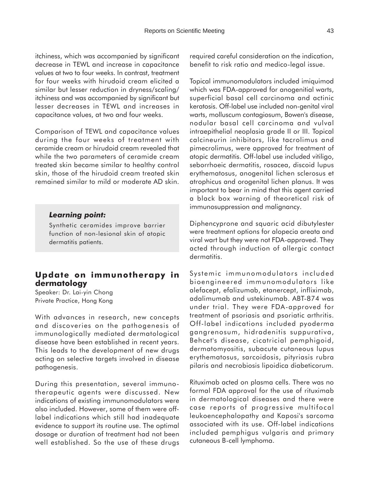itchiness, which was accompanied by significant decrease in TEWL and increase in capacitance values at two to four weeks. In contrast, treatment for four weeks with hirudoid cream elicited a similar but lesser reduction in dryness/scaling/ itchiness and was accompanied by significant but lesser decreases in TEWL and increases in capacitance values, at two and four weeks.

Comparison of TEWL and capacitance values during the four weeks of treatment with ceramide cream or hirudoid cream revealed that while the two parameters of ceramide cream treated skin became similar to healthy control skin, those of the hirudoid cream treated skin remained similar to mild or moderate AD skin.

#### *Learning point:*

Synthetic ceramides improve barrier function of non-lesional skin of atopic dermatitis patients.

# **Update on immunotherapy in dermatology**

Speaker: Dr. Lai-yin Chong Private Practice, Hong Kong

With advances in research, new concepts and discoveries on the pathogenesis of immunologically mediated dermatological disease have been established in recent years. This leads to the development of new drugs acting on selective targets involved in disease pathogenesis.

During this presentation, several immunotherapeutic agents were discussed. New indications of existing immunomodulators were also included. However, some of them were offlabel indications which still had inadequate evidence to support its routine use. The optimal dosage or duration of treatment had not been well established. So the use of these drugs required careful consideration on the indication, benefit to risk ratio and medico-legal issue.

Topical immunomodulators included imiquimod which was FDA-approved for anogenitial warts, superficial basal cell carcinoma and actinic keratosis. Off-label use included non-genital viral warts, molluscum contagiosum, Bowen's disease, nodular basal cell carcinoma and vulval intraepithelial neoplasia grade II or III. Topical calcineurin inhibitors, like tacrolimus and pimecrolimus, were approved for treatment of atopic dermatitis. Off-label use included vitiligo, seborrhoeic dermatitis, rosacea, discoid lupus erythematosus, anogenital lichen sclerosus et atrophicus and orogenital lichen planus. It was important to bear in mind that this agent carried a black box warning of theoretical risk of immunosuppression and malignancy.

Diphencyprone and squaric acid dibutylester were treatment options for alopecia areata and viral wart but they were not FDA-approved. They acted through induction of allergic contact dermatitis.

Systemic immunomodulators included bioengineered immunomodulators like alefacept, efalizumab, etanercept, infliximab, adalimumab and ustekinumab. ABT-874 was under trial. They were FDA-approved for treatment of psoriasis and psoriatic arthritis. Off-label indications included pyoderma gangrenosum, hidradenitis suppurativa, Behcet's disease, cicatricial pemphigoid, dermatomyositis, subacute cutaneous lupus erythematosus, sarcoidosis, pityriasis rubra pilaris and necrobiosis lipoidica diabeticorum.

Rituximab acted on plasma cells. There was no formal FDA approval for the use of rituximab in dermatological diseases and there were case reports of progressive multifocal leukoencephalopathy and Kaposi's sarcoma associated with its use. Off-label indications included pemphigus vulgaris and primary cutaneous B-cell lymphoma.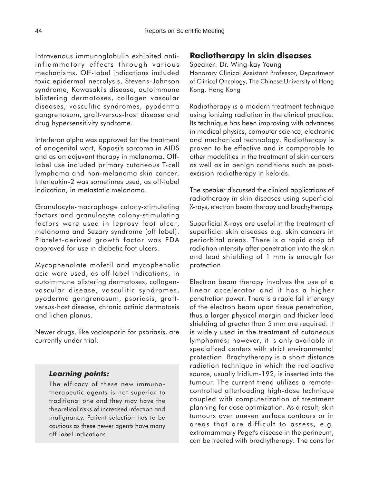Intravenous immunoglobulin exhibited antiinflammatory effects through various mechanisms. Off-label indications included toxic epidermal necrolysis, Stevens-Johnson syndrome, Kawasaki's disease, autoimmune blistering dermatoses, collagen vascular diseases, vasculitic syndromes, pyoderma gangrenosum, graft-versus-host disease and drug hypersensitivity syndrome.

Interferon alpha was approved for the treatment of anogenital wart, Kaposi's sarcoma in AIDS and as an adjuvant therapy in melanoma. Offlabel use included primary cutaneous T-cell lymphoma and non-melanoma skin cancer. Interleukin-2 was sometimes used, as off-label indication, in metastatic melanoma.

Granulocyte-macrophage colony-stimulating factors and granulocyte colony-stimulating factors were used in leprosy foot ulcer, melanoma and Sezary syndrome (off label). Platelet-derived growth factor was FDA approved for use in diabetic foot ulcers.

Mycophenolate mofetil and mycophenolic acid were used, as off-label indications, in autoimmune blistering dermatoses, collagenvascular disease, vasculitic syndromes, pyoderma gangrenosum, psoriasis, graftversus-host disease, chronic actinic dermatosis and lichen planus.

Newer drugs, like voclosporin for psoriasis, are currently under trial.

# *Learning points:*

The efficacy of these new immunotherapeutic agents is not superior to traditional one and they may have the theoretical risks of increased infection and malignancy. Patient selection has to be cautious as these newer agents have many off-label indications.

# **Radiotherapy in skin diseases**

Speaker: Dr. Wing-kay Yeung

Honorary Clinical Assistant Professor, Department of Clinical Oncology, The Chinese University of Hong Kong, Hong Kong

Radiotherapy is a modern treatment technique using ionizing radiation in the clinical practice. Its technique has been improving with advances in medical physics, computer science, electronic and mechanical technology. Radiotherapy is proven to be effective and is comparable to other modalities in the treatment of skin cancers as well as in benign conditions such as postexcision radiotherapy in keloids.

The speaker discussed the clinical applications of radiotherapy in skin diseases using superficial X-rays, electron beam therapy and brachytherapy.

Superficial X-rays are useful in the treatment of superficial skin diseases e.g. skin cancers in periorbital areas. There is a rapid drop of radiation intensity after penetration into the skin and lead shielding of 1 mm is enough for protection.

Electron beam therapy involves the use of a linear accelerator and it has a higher penetration power. There is a rapid fall in energy of the electron beam upon tissue penetration, thus a larger physical margin and thicker lead shielding of greater than 5 mm are required. It is widely used in the treatment of cutaneous lymphomas; however, it is only available in specialized centers with strict environmental protection. Brachytherapy is a short distance radiation technique in which the radioactive source, usually Iridium-192, is inserted into the tumour. The current trend utilizes a remotecontrolled afterloading high-dose technique coupled with computerization of treatment planning for dose optimization. As a result, skin tumours over uneven surface contours or in areas that are difficult to assess, e.g. extramammary Paget's disease in the perineum, can be treated with brachytherapy. The cons for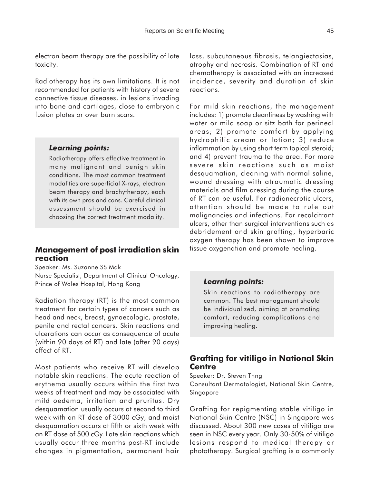electron beam therapy are the possibility of late toxicity.

Radiotherapy has its own limitations. It is not recommended for patients with history of severe connective tissue diseases, in lesions invading into bone and cartilages, close to embryonic fusion plates or over burn scars.

# *Learning points:*

Radiotherapy offers effective treatment in many malignant and benign skin conditions. The most common treatment modalities are superficial X-rays, electron beam therapy and brachytherapy, each with its own pros and cons. Careful clinical assessment should be exercised in choosing the correct treatment modality.

# **Management of post irradiation skin reaction**

Speaker: Ms. Suzanne SS Mak Nurse Specialist, Department of Clinical Oncology, Prince of Wales Hospital, Hong Kong

Radiation therapy (RT) is the most common treatment for certain types of cancers such as head and neck, breast, gynaecologic, prostate, penile and rectal cancers. Skin reactions and ulcerations can occur as consequence of acute (within 90 days of RT) and late (after 90 days) effect of RT.

Most patients who receive RT will develop notable skin reactions. The acute reaction of erythema usually occurs within the first two weeks of treatment and may be associated with mild oedema, irritation and pruritus. Dry desquamation usually occurs at second to third week with an RT dose of 3000 cGy, and moist desquamation occurs at fifth or sixth week with an RT dose of 500 cGy. Late skin reactions which usually occur three months post-RT include changes in pigmentation, permanent hair

loss, subcutaneous fibrosis, telangiectasias, atrophy and necrosis. Combination of RT and chemotherapy is associated with an increased incidence, severity and duration of skin reactions.

For mild skin reactions, the management includes: 1) promote cleanliness by washing with water or mild soap or sitz bath for perineal areas; 2) promote comfort by applying hydrophilic cream or lotion; 3) reduce inflammation by using short term topical steroid; and 4) prevent trauma to the area. For more severe skin reactions such as moist desquamation, cleaning with normal saline, wound dressing with atraumatic dressing materials and film dressing during the course of RT can be useful. For radionecrotic ulcers, attention should be made to rule out malignancies and infections. For recalcitrant ulcers, other than surgical interventions such as debridement and skin grafting, hyperbaric oxygen therapy has been shown to improve tissue oxygenation and promote healing.

# *Learning points:*

Skin reactions to radiotherapy are common. The best management should be individualized, aiming at promoting comfort, reducing complications and improving healing.

# **Grafting for vitiligo in National Skin Centre**

Speaker: Dr. Steven Thng Consultant Dermatologist, National Skin Centre, Singapore

Grafting for repigmenting stable vitiligo in National Skin Centre (NSC) in Singapore was discussed. About 300 new cases of vitiligo are seen in NSC every year. Only 30-50% of vitiligo lesions respond to medical therapy or phototherapy. Surgical grafting is a commonly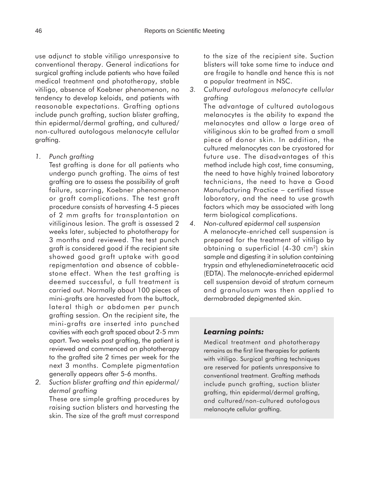use adjunct to stable vitiligo unresponsive to conventional therapy. General indications for surgical grafting include patients who have failed medical treatment and phototherapy, stable vitiligo, absence of Koebner phenomenon, no tendency to develop keloids, and patients with reasonable expectations. Grafting options include punch grafting, suction blister grafting, thin epidermal/dermal grafting, and cultured/ non-cultured autologous melanocyte cellular grafting.

*1. Punch grafting*

Test grafting is done for all patients who undergo punch grafting. The aims of test grafting are to assess the possibility of graft failure, scarring, Koebner phenomenon or graft complications. The test graft procedure consists of harvesting 4-5 pieces of 2 mm grafts for transplantation on vitiliginous lesion. The graft is assessed 2 weeks later, subjected to phototherapy for 3 months and reviewed. The test punch graft is considered good if the recipient site showed good graft uptake with good repigmentation and absence of cobblestone effect. When the test grafting is deemed successful, a full treatment is carried out. Normally about 100 pieces of mini-grafts are harvested from the buttock, lateral thigh or abdomen per punch grafting session. On the recipient site, the mini-grafts are inserted into punched cavities with each graft spaced about 2-5 mm apart. Two weeks post grafting, the patient is reviewed and commenced on phototherapy to the grafted site 2 times per week for the next 3 months. Complete pigmentation generally appears after 5-6 months.

*2. Suction blister grafting and thin epidermal/ dermal grafting*

These are simple grafting procedures by raising suction blisters and harvesting the skin. The size of the graft must correspond

to the size of the recipient site. Suction blisters will take some time to induce and are fragile to handle and hence this is not a popular treatment in NSC.

*3. Cultured autologous melanocyte cellular grafting* The advantage of cultured autologous melanocytes is the ability to expand the melanocytes and allow a large area of vitiliginous skin to be grafted from a small piece of donor skin. In addition, the cultured melanocytes can be cryostored for future use. The disadvantages of this method include high cost, time consuming, the need to have highly trained laboratory technicians, the need to have a Good

Manufacturing Practice − certified tissue laboratory, and the need to use growth factors which may be associated with long term biological complications.

*4. Non-cultured epidermal cell suspension* A melanocyte-enriched cell suspension is prepared for the treatment of vitiligo by obtaining a superficial  $(4-30 \text{ cm}^2)$  skin sample and digesting it in solution containing trypsin and ethylenediaminetetraacetic acid (EDTA). The melanocyte-enriched epidermal cell suspension devoid of stratum corneum and granulosum was then applied to dermabraded depigmented skin.

# *Learning points:*

Medical treatment and phototherapy remains as the first line therapies for patients with vitiligo. Surgical grafting techniques are reserved for patients unresponsive to conventional treatment. Grafting methods include punch grafting, suction blister grafting, thin epidermal/dermal grafting, and cultured/non-cultured autologous melanocyte cellular grafting.